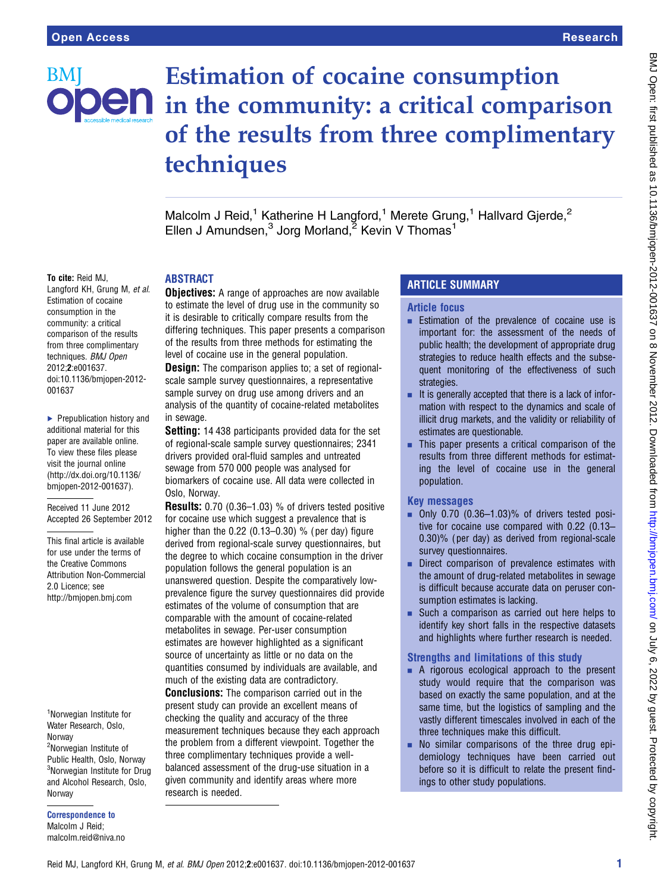BM

# Estimation of cocaine consumption  $\mathsf{Q}\mathsf{e}\mathsf{n}$  in the community: a critical comparison of the results from three complimentary techniques Malcolm J Reid,<sup>1</sup> Katherine H Langford,<sup>1</sup> Merete Grung,<sup>1</sup> Hallvard Gjerde,<sup>2</sup> Ellen J Amundsen,  $3$  Jorg Morland,  $2$  Kevin V Thomas<sup>1</sup>

# To cite: Reid MJ,

Langford KH, Grung M, et al. Estimation of cocaine consumption in the community: a critical comparison of the results from three complimentary techniques. BMJ Open 2012;2:e001637. doi:10.1136/bmjopen-2012- 001637

▶ Prepublication history and additional material for this paper are available online. To view these files please visit the journal online [\(http://dx.doi.org/10.1136/](http://dx.doi.org/10.1136/bmjopen-2012-001637) [bmjopen-2012-001637](http://dx.doi.org/10.1136/bmjopen-2012-001637)).

Received 11 June 2012 Accepted 26 September 2012

This final article is available for use under the terms of the Creative Commons Attribution Non-Commercial 2.0 Licence; see <http://bmjopen.bmj.com>

<sup>1</sup>Norwegian Institute for Water Research, Oslo, Norway <sup>2</sup>Norwegian Institute of Public Health, Oslo, Norway <sup>3</sup>Norwegian Institute for Drug and Alcohol Research, Oslo, Norway

Correspondence to Malcolm J Reid; malcolm.reid@niva.no

# ABSTRACT

**Objectives:** A range of approaches are now available to estimate the level of drug use in the community so it is desirable to critically compare results from the differing techniques. This paper presents a comparison of the results from three methods for estimating the level of cocaine use in the general population.

**Design:** The comparison applies to; a set of regionalscale sample survey questionnaires, a representative sample survey on drug use among drivers and an analysis of the quantity of cocaine-related metabolites in sewage.

**Setting:** 14 438 participants provided data for the set of regional-scale sample survey questionnaires; 2341 drivers provided oral-fluid samples and untreated sewage from 570 000 people was analysed for biomarkers of cocaine use. All data were collected in Oslo, Norway.

Results: 0.70 (0.36–1.03) % of drivers tested positive for cocaine use which suggest a prevalence that is higher than the  $0.22$  (0.13–0.30) % (per day) figure derived from regional-scale survey questionnaires, but the degree to which cocaine consumption in the driver population follows the general population is an unanswered question. Despite the comparatively lowprevalence figure the survey questionnaires did provide estimates of the volume of consumption that are comparable with the amount of cocaine-related metabolites in sewage. Per-user consumption estimates are however highlighted as a significant source of uncertainty as little or no data on the quantities consumed by individuals are available, and much of the existing data are contradictory.

**Conclusions:** The comparison carried out in the present study can provide an excellent means of checking the quality and accuracy of the three measurement techniques because they each approach the problem from a different viewpoint. Together the three complimentary techniques provide a wellbalanced assessment of the drug-use situation in a given community and identify areas where more research is needed.

# ARTICLE SUMMARY

#### Article focus

- Estimation of the prevalence of cocaine use is important for: the assessment of the needs of public health; the development of appropriate drug strategies to reduce health effects and the subsequent monitoring of the effectiveness of such strategies.
- $\blacksquare$  It is generally accepted that there is a lack of information with respect to the dynamics and scale of illicit drug markets, and the validity or reliability of estimates are questionable.
- This paper presents a critical comparison of the results from three different methods for estimating the level of cocaine use in the general population.

# Key messages

- $\blacksquare$  Only 0.70 (0.36-1.03)% of drivers tested positive for cocaine use compared with 0.22 (0.13– 0.30)% ( per day) as derived from regional-scale survey questionnaires.
- $\blacksquare$  Direct comparison of prevalence estimates with the amount of drug-related metabolites in sewage is difficult because accurate data on peruser consumption estimates is lacking.
- Such a comparison as carried out here helps to identify key short falls in the respective datasets and highlights where further research is needed.

# Strengths and limitations of this study

- $\blacksquare$  A rigorous ecological approach to the present study would require that the comparison was based on exactly the same population, and at the same time, but the logistics of sampling and the vastly different timescales involved in each of the three techniques make this difficult.
- No similar comparisons of the three drug epidemiology techniques have been carried out before so it is difficult to relate the present findings to other study populations.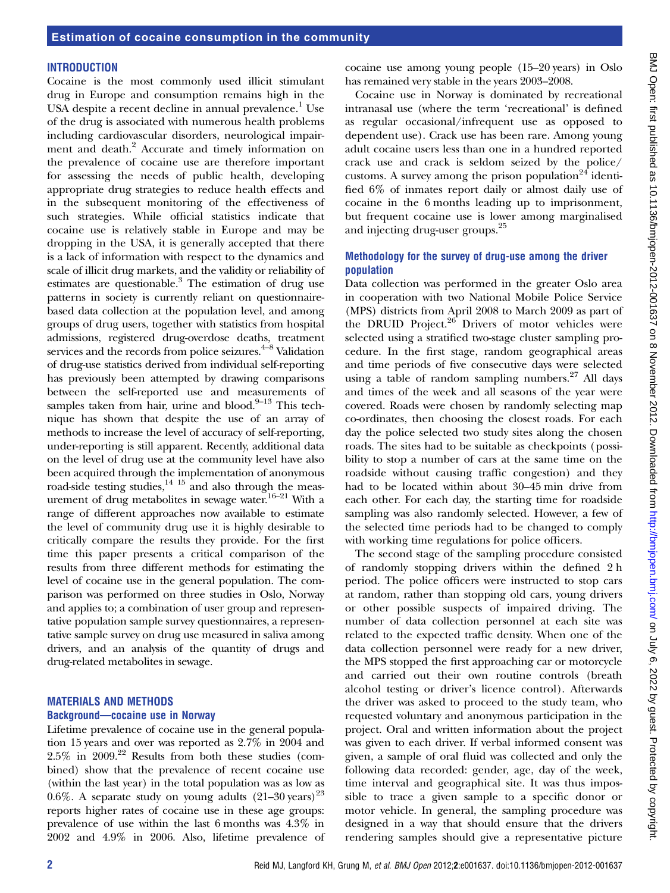#### **INTRODUCTION**

Cocaine is the most commonly used illicit stimulant drug in Europe and consumption remains high in the USA despite a recent decline in annual prevalence.<sup>1</sup> Use of the drug is associated with numerous health problems including cardiovascular disorders, neurological impairment and death.<sup>2</sup> Accurate and timely information on the prevalence of cocaine use are therefore important for assessing the needs of public health, developing appropriate drug strategies to reduce health effects and in the subsequent monitoring of the effectiveness of such strategies. While official statistics indicate that cocaine use is relatively stable in Europe and may be dropping in the USA, it is generally accepted that there is a lack of information with respect to the dynamics and scale of illicit drug markets, and the validity or reliability of estimates are questionable. $3$  The estimation of drug use patterns in society is currently reliant on questionnairebased data collection at the population level, and among groups of drug users, together with statistics from hospital admissions, registered drug-overdose deaths, treatment services and the records from police seizures.<sup>4–8</sup> Validation of drug-use statistics derived from individual self-reporting has previously been attempted by drawing comparisons between the self-reported use and measurements of samples taken from hair, urine and blood. $9-13$  This technique has shown that despite the use of an array of methods to increase the level of accuracy of self-reporting, under-reporting is still apparent. Recently, additional data on the level of drug use at the community level have also been acquired through the implementation of anonymous road-side testing studies, $14 \frac{15}{2}$  and also through the measurement of drug metabolites in sewage water.<sup>16-21</sup> With a range of different approaches now available to estimate the level of community drug use it is highly desirable to critically compare the results they provide. For the first time this paper presents a critical comparison of the results from three different methods for estimating the level of cocaine use in the general population. The comparison was performed on three studies in Oslo, Norway and applies to; a combination of user group and representative population sample survey questionnaires, a representative sample survey on drug use measured in saliva among drivers, and an analysis of the quantity of drugs and drug-related metabolites in sewage.

## MATERIALS AND METHODS Background—cocaine use in Norway

Lifetime prevalence of cocaine use in the general population 15 years and over was reported as 2.7% in 2004 and 2.5% in 2009.22 Results from both these studies (combined) show that the prevalence of recent cocaine use (within the last year) in the total population was as low as 0.6%. A separate study on young adults  $(21-30 \text{ years})^{23}$ reports higher rates of cocaine use in these age groups: prevalence of use within the last 6 months was 4.3% in 2002 and 4.9% in 2006. Also, lifetime prevalence of cocaine use among young people (15–20 years) in Oslo has remained very stable in the years 2003–2008.

Cocaine use in Norway is dominated by recreational intranasal use (where the term 'recreational' is defined as regular occasional/infrequent use as opposed to dependent use). Crack use has been rare. Among young adult cocaine users less than one in a hundred reported crack use and crack is seldom seized by the police/ customs. A survey among the prison population<sup>24</sup> identified 6% of inmates report daily or almost daily use of cocaine in the 6 months leading up to imprisonment, but frequent cocaine use is lower among marginalised and injecting drug-user groups.25

## Methodology for the survey of drug-use among the driver population

Data collection was performed in the greater Oslo area in cooperation with two National Mobile Police Service (MPS) districts from April 2008 to March 2009 as part of the DRUID Project. $26$  Drivers of motor vehicles were selected using a stratified two-stage cluster sampling procedure. In the first stage, random geographical areas and time periods of five consecutive days were selected using a table of random sampling numbers. $27$  All days and times of the week and all seasons of the year were covered. Roads were chosen by randomly selecting map co-ordinates, then choosing the closest roads. For each day the police selected two study sites along the chosen roads. The sites had to be suitable as checkpoints (possibility to stop a number of cars at the same time on the roadside without causing traffic congestion) and they had to be located within about 30–45 min drive from each other. For each day, the starting time for roadside sampling was also randomly selected. However, a few of the selected time periods had to be changed to comply with working time regulations for police officers.

The second stage of the sampling procedure consisted of randomly stopping drivers within the defined 2 h period. The police officers were instructed to stop cars at random, rather than stopping old cars, young drivers or other possible suspects of impaired driving. The number of data collection personnel at each site was related to the expected traffic density. When one of the data collection personnel were ready for a new driver, the MPS stopped the first approaching car or motorcycle and carried out their own routine controls (breath alcohol testing or driver's licence control). Afterwards the driver was asked to proceed to the study team, who requested voluntary and anonymous participation in the project. Oral and written information about the project was given to each driver. If verbal informed consent was given, a sample of oral fluid was collected and only the following data recorded: gender, age, day of the week, time interval and geographical site. It was thus impossible to trace a given sample to a specific donor or motor vehicle. In general, the sampling procedure was designed in a way that should ensure that the drivers rendering samples should give a representative picture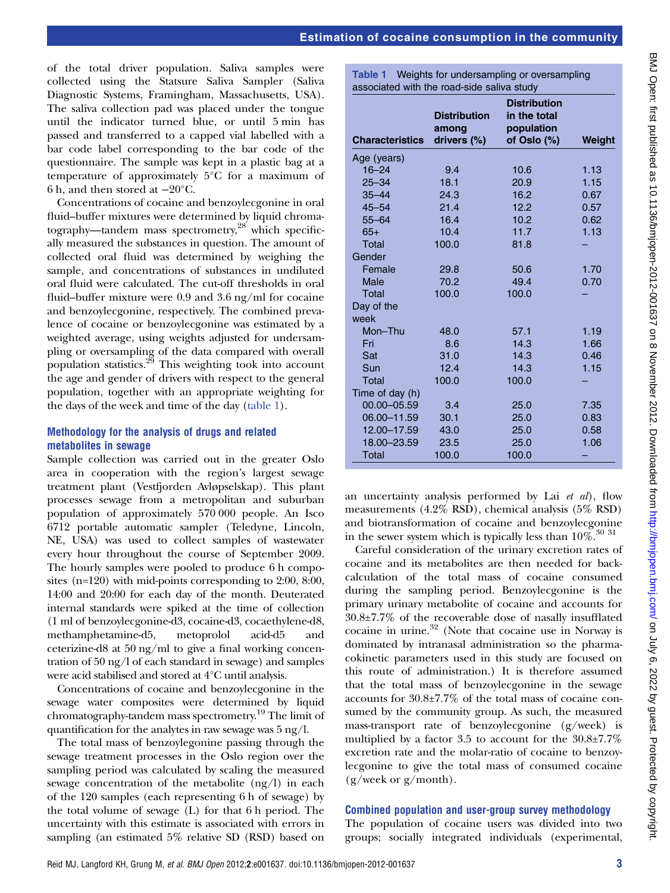# Estimation of cocaine consumption in the community

of the total driver population. Saliva samples were collected using the Statsure Saliva Sampler (Saliva Diagnostic Systems, Framingham, Massachusetts, USA). The saliva collection pad was placed under the tongue until the indicator turned blue, or until 5 min has passed and transferred to a capped vial labelled with a bar code label corresponding to the bar code of the questionnaire. The sample was kept in a plastic bag at a temperature of approximately 5°C for a maximum of 6 h, and then stored at −20°C.

Concentrations of cocaine and benzoylecgonine in oral fluid–buffer mixtures were determined by liquid chromatography—tandem mass spectrometry,<sup>28</sup> which specifically measured the substances in question. The amount of collected oral fluid was determined by weighing the sample, and concentrations of substances in undiluted oral fluid were calculated. The cut-off thresholds in oral fluid–buffer mixture were 0.9 and 3.6 ng/ml for cocaine and benzoylecgonine, respectively. The combined prevalence of cocaine or benzoylecgonine was estimated by a weighted average, using weights adjusted for undersampling or oversampling of the data compared with overall population statistics.<sup>29</sup> This weighting took into account the age and gender of drivers with respect to the general population, together with an appropriate weighting for the days of the week and time of the day (table 1).

# Methodology for the analysis of drugs and related metabolites in sewage

Sample collection was carried out in the greater Oslo area in cooperation with the region's largest sewage treatment plant (Vestfjorden Avløpselskap). This plant processes sewage from a metropolitan and suburban population of approximately 570 000 people. An Isco 6712 portable automatic sampler (Teledyne, Lincoln, NE, USA) was used to collect samples of wastewater every hour throughout the course of September 2009. The hourly samples were pooled to produce 6 h composites (n=120) with mid-points corresponding to 2:00, 8:00, 14:00 and 20:00 for each day of the month. Deuterated internal standards were spiked at the time of collection (1 ml of benzoylecgonine-d3, cocaine-d3, cocaethylene-d8, methamphetamine-d5, metoprolol acid-d5 and ceterizine-d8 at 50 ng/ml to give a final working concentration of 50 ng/l of each standard in sewage) and samples were acid stabilised and stored at 4°C until analysis.

Concentrations of cocaine and benzoylecgonine in the sewage water composites were determined by liquid chromatography-tandem mass spectrometry.19 The limit of quantification for the analytes in raw sewage was 5 ng/l.

The total mass of benzoylegonine passing through the sewage treatment processes in the Oslo region over the sampling period was calculated by scaling the measured sewage concentration of the metabolite (ng/l) in each of the 120 samples (each representing 6 h of sewage) by the total volume of sewage (L) for that 6 h period. The uncertainty with this estimate is associated with errors in sampling (an estimated 5% relative SD (RSD) based on

| <b>Table 1</b> Weights for undersampling or oversampling |
|----------------------------------------------------------|
| associated with the road-side saliva study               |

| <b>Characteristics</b> | <b>Distribution</b><br>among<br>drivers (%) | <b>Distribution</b><br>in the total<br>population<br>of Oslo (%) | Weight |
|------------------------|---------------------------------------------|------------------------------------------------------------------|--------|
| Age (years)            |                                             |                                                                  |        |
| $16 - 24$              | 9.4                                         | 10.6                                                             | 1.13   |
| $25 - 34$              | 18.1                                        | 20.9                                                             | 1.15   |
| $35 - 44$              | 24.3                                        | 16.2                                                             | 0.67   |
| $45 - 54$              | 21.4                                        | 12.2                                                             | 0.57   |
| $55 - 64$              | 16.4                                        | 10.2                                                             | 0.62   |
| $65+$                  | 10.4                                        | 11.7                                                             | 1.13   |
| Total                  | 100.0                                       | 81.8                                                             |        |
| Gender                 |                                             |                                                                  |        |
| Female                 | 29.8                                        | 50.6                                                             | 1.70   |
| Male                   | 70.2                                        | 49.4                                                             | 0.70   |
| <b>Total</b>           | 100.0                                       | 100.0                                                            |        |
| Day of the             |                                             |                                                                  |        |
| week                   |                                             |                                                                  |        |
| Mon-Thu                | 48.0                                        | 57.1                                                             | 1.19   |
| Fri                    | 8.6                                         | 14.3                                                             | 1.66   |
| Sat                    | 31.0                                        | 14.3                                                             | 0.46   |
| Sun                    | 12.4                                        | 14.3                                                             | 1.15   |
| <b>Total</b>           | 100.0                                       | 100.0                                                            |        |
| Time of day (h)        |                                             |                                                                  |        |
| 00.00-05.59            | 3.4                                         | 25.0                                                             | 7.35   |
| 06.00-11.59            | 30.1                                        | 25.0                                                             | 0.83   |
| 12.00-17.59            | 43.0                                        | 25.0                                                             | 0.58   |
| 18.00-23.59            | 23.5                                        | 25.0                                                             | 1.06   |
| Total                  | 100.0                                       | 100.0                                                            |        |

an uncertainty analysis performed by Lai et al), flow measurements (4.2% RSD), chemical analysis (5% RSD) and biotransformation of cocaine and benzoylecgonine in the sewer system which is typically less than  $10\%$ .<sup>30 31</sup>

Careful consideration of the urinary excretion rates of cocaine and its metabolites are then needed for backcalculation of the total mass of cocaine consumed during the sampling period. Benzoylecgonine is the primary urinary metabolite of cocaine and accounts for 30.8±7.7% of the recoverable dose of nasally insufflated cocaine in urine.<sup>32</sup> (Note that cocaine use in Norway is dominated by intranasal administration so the pharmacokinetic parameters used in this study are focused on this route of administration.) It is therefore assumed that the total mass of benzoylecgonine in the sewage accounts for 30.8±7.7% of the total mass of cocaine consumed by the community group. As such, the measured mass-transport rate of benzoylecgonine (g/week) is multiplied by a factor 3.5 to account for the 30.8±7.7% excretion rate and the molar-ratio of cocaine to benzoylecgonine to give the total mass of consumed cocaine (g/week or g/month).

# Combined population and user-group survey methodology

The population of cocaine users was divided into two groups; socially integrated individuals (experimental,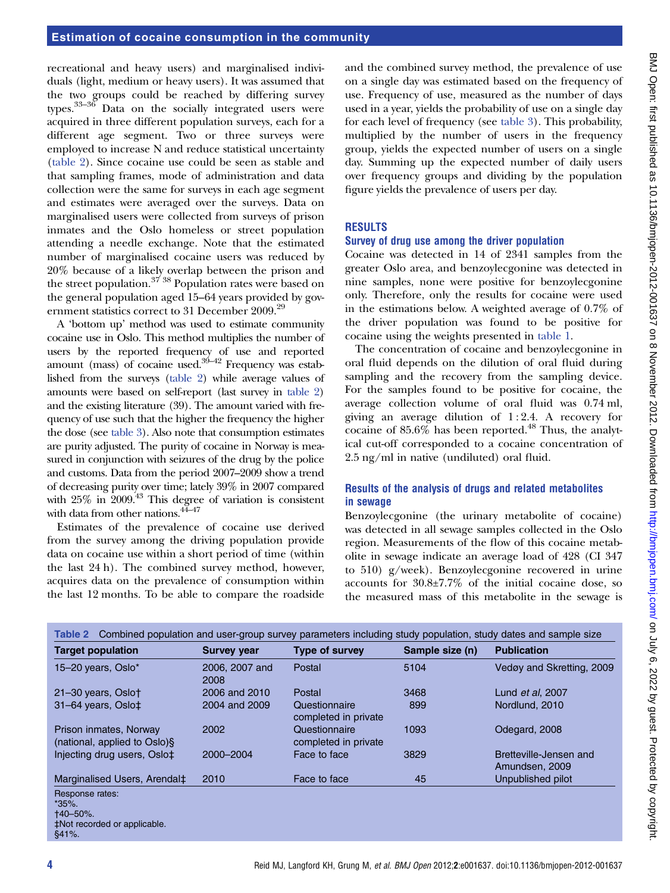recreational and heavy users) and marginalised individuals (light, medium or heavy users). It was assumed that the two groups could be reached by differing survey types.33–<sup>36</sup> Data on the socially integrated users were acquired in three different population surveys, each for a different age segment. Two or three surveys were employed to increase N and reduce statistical uncertainty (table 2). Since cocaine use could be seen as stable and that sampling frames, mode of administration and data collection were the same for surveys in each age segment and estimates were averaged over the surveys. Data on marginalised users were collected from surveys of prison inmates and the Oslo homeless or street population attending a needle exchange. Note that the estimated number of marginalised cocaine users was reduced by 20% because of a likely overlap between the prison and the street population.<sup>37</sup><sup>38</sup> Population rates were based on the general population aged 15–64 years provided by government statistics correct to 31 December 2009.29

A 'bottom up' method was used to estimate community cocaine use in Oslo. This method multiplies the number of users by the reported frequency of use and reported amount (mass) of cocaine used. $3^{3-42}$  Frequency was established from the surveys (table 2) while average values of amounts were based on self-report (last survey in table 2) and the existing literature (39). The amount varied with frequency of use such that the higher the frequency the higher the dose (see table 3). Also note that consumption estimates are purity adjusted. The purity of cocaine in Norway is measured in conjunction with seizures of the drug by the police and customs. Data from the period 2007–2009 show a trend of decreasing purity over time; lately 39% in 2007 compared with 25% in 2009.<sup>43</sup> This degree of variation is consistent with data from other nations.  $44-47$ 

Estimates of the prevalence of cocaine use derived from the survey among the driving population provide data on cocaine use within a short period of time (within the last 24 h). The combined survey method, however, acquires data on the prevalence of consumption within the last 12 months. To be able to compare the roadside and the combined survey method, the prevalence of use on a single day was estimated based on the frequency of use. Frequency of use, measured as the number of days used in a year, yields the probability of use on a single day for each level of frequency (see table 3). This probability, multiplied by the number of users in the frequency group, yields the expected number of users on a single day. Summing up the expected number of daily users over frequency groups and dividing by the population figure yields the prevalence of users per day.

#### RESULTS

#### Survey of drug use among the driver population

Cocaine was detected in 14 of 2341 samples from the greater Oslo area, and benzoylecgonine was detected in nine samples, none were positive for benzoylecgonine only. Therefore, only the results for cocaine were used in the estimations below. A weighted average of 0.7% of the driver population was found to be positive for cocaine using the weights presented in table 1.

The concentration of cocaine and benzoylecgonine in oral fluid depends on the dilution of oral fluid during sampling and the recovery from the sampling device. For the samples found to be positive for cocaine, the average collection volume of oral fluid was 0.74 ml, giving an average dilution of  $1:2.4$ . A recovery for cocaine of  $85.6\%$  has been reported.<sup>48</sup> Thus, the analytical cut-off corresponded to a cocaine concentration of 2.5 ng/ml in native (undiluted) oral fluid.

# Results of the analysis of drugs and related metabolites in sewage

Benzoylecgonine (the urinary metabolite of cocaine) was detected in all sewage samples collected in the Oslo region. Measurements of the flow of this cocaine metabolite in sewage indicate an average load of 428 (CI 347 to 510) g/week). Benzoylecgonine recovered in urine accounts for 30.8±7.7% of the initial cocaine dose, so the measured mass of this metabolite in the sewage is

| <b>Target population</b>                                             | <b>Survey year</b>     | <b>Type of survey</b>                 | Sample size (n) | Combined population and user-group survey parameters including study population, study dates and sample size<br><b>Publication</b> |
|----------------------------------------------------------------------|------------------------|---------------------------------------|-----------------|------------------------------------------------------------------------------------------------------------------------------------|
| 15-20 years, Oslo*                                                   | 2006, 2007 and<br>2008 | Postal                                | 5104            | Vedøy and Skretting, 2009                                                                                                          |
| 21-30 years, Oslo†                                                   | 2006 and 2010          | Postal                                | 3468            | Lund <i>et al</i> , 2007                                                                                                           |
| 31–64 years, Oslo‡                                                   | 2004 and 2009          | Questionnaire<br>completed in private | 899             | Nordlund, 2010                                                                                                                     |
| Prison inmates, Norway<br>(national, applied to Oslo)§               | 2002                   | Questionnaire<br>completed in private | 1093            | Odegard, 2008                                                                                                                      |
| Injecting drug users, Oslo‡                                          | 2000-2004              | Face to face                          | 3829            | Bretteville-Jensen and<br>Amundsen, 2009                                                                                           |
| Marginalised Users, Arendal‡                                         | 2010                   | Face to face                          | 45              | Unpublished pilot                                                                                                                  |
| Response rates:<br>*35%.<br>+40-50%.<br>‡Not recorded or applicable. |                        |                                       |                 |                                                                                                                                    |

§41%.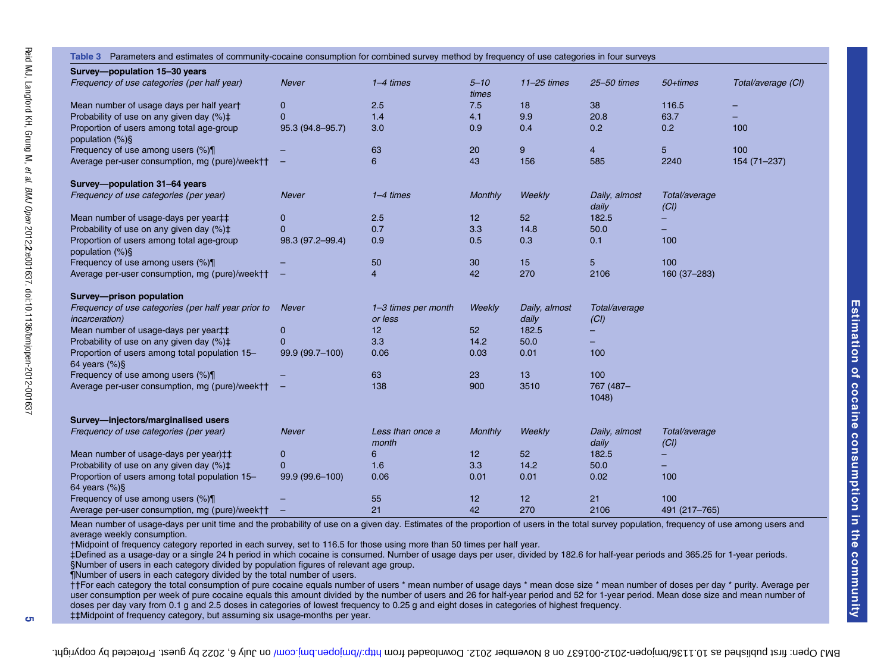| Table 3 Parameters and estimates of community-cocaine consumption for combined survey method by frequency of use categories in four surveys |                  |                                |                   |                        |                        |                       |                    |
|---------------------------------------------------------------------------------------------------------------------------------------------|------------------|--------------------------------|-------------------|------------------------|------------------------|-----------------------|--------------------|
| Survey-population 15-30 years                                                                                                               |                  |                                |                   |                        |                        |                       |                    |
| Frequency of use categories (per half year)                                                                                                 | <b>Never</b>     | $1-4$ times                    | $5 - 10$<br>times | $11 - 25$ times        | 25-50 times            | 50+times              | Total/average (CI) |
| Mean number of usage days per half yeart                                                                                                    | $\mathbf 0$      | 2.5                            | 7.5               | 18                     | 38                     | 116.5                 |                    |
| Probability of use on any given day (%) $\ddagger$                                                                                          | $\Omega$         | 1.4                            | 4.1               | 9.9                    | 20.8                   | 63.7                  |                    |
| Proportion of users among total age-group                                                                                                   | 95.3 (94.8-95.7) | 3.0                            | 0.9               | 0.4                    | 0.2                    | 0.2                   | 100                |
| population (%)§                                                                                                                             |                  |                                |                   |                        |                        |                       |                    |
| Frequency of use among users (%)¶                                                                                                           |                  | 63                             | 20                | 9                      | $\overline{4}$         | 5                     | 100                |
| Average per-user consumption, mg (pure)/weektt                                                                                              |                  | 6                              | 43                | 156                    | 585                    | 2240                  | 154 (71-237)       |
| Survey-population 31-64 years                                                                                                               |                  |                                |                   |                        |                        |                       |                    |
| Frequency of use categories (per year)                                                                                                      | <b>Never</b>     | $1-4$ times                    | <b>Monthly</b>    | Weekly                 | Daily, almost<br>daily | Total/average<br>(Cl) |                    |
| Mean number of usage-days per year#                                                                                                         | $\mathbf 0$      | 2.5                            | 12                | 52                     | 182.5                  |                       |                    |
| Probability of use on any given day (%) $\ddagger$                                                                                          | $\mathbf 0$      | 0.7                            | 3.3               | 14.8                   | 50.0                   |                       |                    |
| Proportion of users among total age-group                                                                                                   | 98.3 (97.2-99.4) | 0.9                            | 0.5               | 0.3                    | 0.1                    | 100                   |                    |
| population (%)§                                                                                                                             |                  |                                |                   |                        |                        |                       |                    |
| Frequency of use among users (%)¶                                                                                                           |                  | 50                             | 30                | 15                     | 5                      | 100                   |                    |
| Average per-user consumption, mg (pure)/weektt                                                                                              |                  | $\overline{4}$                 | 42                | 270                    | 2106                   | 160 (37-283)          |                    |
| Survey-prison population                                                                                                                    |                  |                                |                   |                        |                        |                       |                    |
| Frequency of use categories (per half year prior to<br><i>incarceration</i> )                                                               | <b>Never</b>     | 1-3 times per month<br>or less | Weekly            | Daily, almost<br>daily | Total/average<br>(Cl)  |                       |                    |
| Mean number of usage-days per year##                                                                                                        | $\bf{0}$         | 12                             | 52                | 182.5                  |                        |                       |                    |
| Probability of use on any given day (%)#                                                                                                    | $\mathbf 0$      | 3.3                            | 14.2              | 50.0                   |                        |                       |                    |
| Proportion of users among total population 15-                                                                                              | 99.9 (99.7-100)  | 0.06                           | 0.03              | 0.01                   | 100                    |                       |                    |
| 64 years $(\%)\$                                                                                                                            |                  |                                |                   |                        |                        |                       |                    |
| Frequency of use among users (%)¶                                                                                                           |                  | 63                             | 23                | 13                     | 100                    |                       |                    |
| Average per-user consumption, mg (pure)/weektt                                                                                              |                  | 138                            | 900               | 3510                   | 767 (487-              |                       |                    |
|                                                                                                                                             |                  |                                |                   |                        | 1048                   |                       |                    |
| Survey-injectors/marginalised users                                                                                                         |                  |                                |                   |                        |                        |                       |                    |
| Frequency of use categories (per year)                                                                                                      | <b>Never</b>     | Less than once a<br>month      | <b>Monthly</b>    | Weekly                 | Daily, almost<br>daily | Total/average<br>(Cl) |                    |
| Mean number of usage-days per year)##                                                                                                       | $\mathbf 0$      | 6                              | 12                | 52                     | 182.5                  | -                     |                    |
| Probability of use on any given day (%)#                                                                                                    | $\mathbf 0$      | 1.6                            | 3.3               | 14.2                   | 50.0                   |                       |                    |
| Proportion of users among total population 15-                                                                                              | 99.9 (99.6-100)  | 0.06                           | 0.01              | 0.01                   | 0.02                   | 100                   |                    |
| 64 years $(\%)\$                                                                                                                            |                  |                                |                   |                        |                        |                       |                    |
| Frequency of use among users (%)¶                                                                                                           |                  | 55                             | 12                | 12                     | 21                     | 100                   |                    |
| Average per-user consumption, mg (pure)/weektt                                                                                              |                  | 21                             | 42                | 270                    | 2106                   | 491 (217-765)         |                    |

Mean number of usage-days per unit time and the probability of use on <sup>a</sup> given day. Estimates of the proportion of users in the total survey population, frequency of use among users and average weekly consumption.

Estimation of cocaine consumption in the community

Estimation of cocaine consumption in the community

†Midpoint of frequency category reported in each survey, set to 116.5 for those using more than 50 times per half year.

‡Defined as <sup>a</sup> usage-day or <sup>a</sup> single 24 h period in which cocaine is consumed. Number of usage days per user, divided by 182.6 for half-year periods and 365.25 for 1-year periods. §Number of users in each category divided by population figures of relevant age group.

¶Number of users in each category divided by the total number of users.

††For each category the total consumption of pure cocaine equals number of users \* mean number of usage days \* mean dose size \* mean number of doses per day \* purity. Average per user consumption per week of pure cocaine equals this amount divided by the number of users and 26 for half-year period and 52 for 1-year period. Mean dose size and mean number of doses per day vary from 0.1 g and 2.5 doses in categories of lowest frequency to 0.25 g and eight doses in categories of highest frequency.

‡‡Midpoint of frequency category, but assuming six usage-months per year.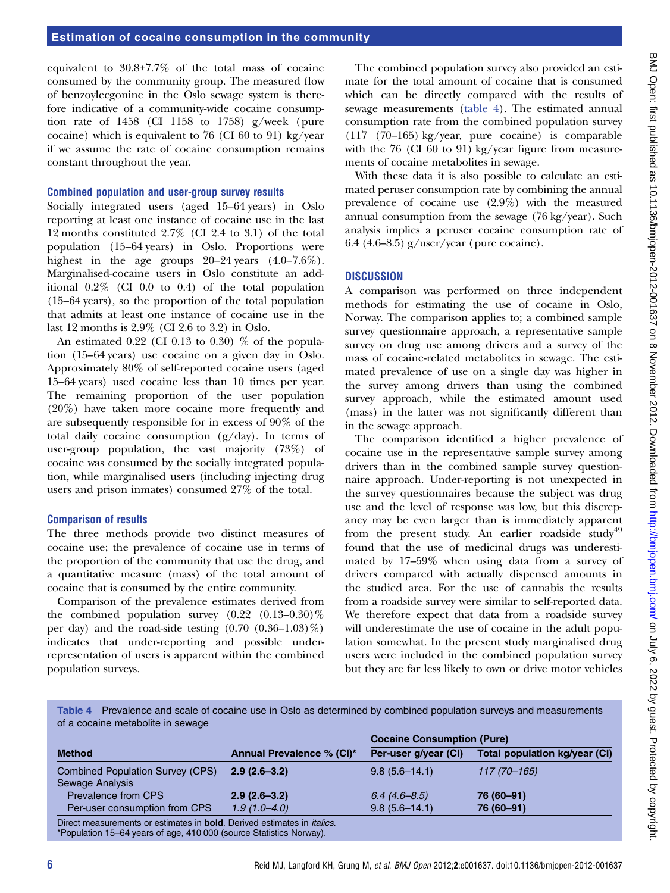equivalent to 30.8±7.7% of the total mass of cocaine consumed by the community group. The measured flow of benzoylecgonine in the Oslo sewage system is therefore indicative of a community-wide cocaine consumption rate of  $1458$  (CI 1158 to 1758) g/week (pure cocaine) which is equivalent to 76 (CI 60 to 91) kg/year if we assume the rate of cocaine consumption remains constant throughout the year.

#### Combined population and user-group survey results

Socially integrated users (aged 15–64 years) in Oslo reporting at least one instance of cocaine use in the last 12 months constituted 2.7% (CI 2.4 to 3.1) of the total population (15–64 years) in Oslo. Proportions were highest in the age groups  $20-24$  years  $(4.0-7.6\%)$ . Marginalised-cocaine users in Oslo constitute an additional 0.2% (CI 0.0 to 0.4) of the total population (15–64 years), so the proportion of the total population that admits at least one instance of cocaine use in the last 12 months is 2.9% (CI 2.6 to 3.2) in Oslo.

An estimated 0.22 (CI 0.13 to 0.30)  $%$  of the population (15–64 years) use cocaine on a given day in Oslo. Approximately 80% of self-reported cocaine users (aged 15–64 years) used cocaine less than 10 times per year. The remaining proportion of the user population (20%) have taken more cocaine more frequently and are subsequently responsible for in excess of 90% of the total daily cocaine consumption  $(g/day)$ . In terms of user-group population, the vast majority (73%) of cocaine was consumed by the socially integrated population, while marginalised users (including injecting drug users and prison inmates) consumed 27% of the total.

#### Comparison of results

The three methods provide two distinct measures of cocaine use; the prevalence of cocaine use in terms of the proportion of the community that use the drug, and a quantitative measure (mass) of the total amount of cocaine that is consumed by the entire community.

Comparison of the prevalence estimates derived from the combined population survey  $(0.22 \quad (0.13-0.30)\%$ per day) and the road-side testing  $(0.70 \ (0.36-1.03)\%)$ indicates that under-reporting and possible underrepresentation of users is apparent within the combined population surveys.

The combined population survey also provided an estimate for the total amount of cocaine that is consumed which can be directly compared with the results of sewage measurements (table 4). The estimated annual consumption rate from the combined population survey (117 (70–165) kg/year, pure cocaine) is comparable with the 76 (CI 60 to 91) kg/year figure from measurements of cocaine metabolites in sewage.

With these data it is also possible to calculate an estimated peruser consumption rate by combining the annual prevalence of cocaine use (2.9%) with the measured annual consumption from the sewage (76 kg/year). Such analysis implies a peruser cocaine consumption rate of 6.4 (4.6–8.5) g/user/year (pure cocaine).

#### **DISCUSSION**

A comparison was performed on three independent methods for estimating the use of cocaine in Oslo, Norway. The comparison applies to; a combined sample survey questionnaire approach, a representative sample survey on drug use among drivers and a survey of the mass of cocaine-related metabolites in sewage. The estimated prevalence of use on a single day was higher in the survey among drivers than using the combined survey approach, while the estimated amount used (mass) in the latter was not significantly different than in the sewage approach.

The comparison identified a higher prevalence of cocaine use in the representative sample survey among drivers than in the combined sample survey questionnaire approach. Under-reporting is not unexpected in the survey questionnaires because the subject was drug use and the level of response was low, but this discrepancy may be even larger than is immediately apparent from the present study. An earlier roadside study<sup>49</sup> found that the use of medicinal drugs was underestimated by 17–59% when using data from a survey of drivers compared with actually dispensed amounts in the studied area. For the use of cannabis the results from a roadside survey were similar to self-reported data. We therefore expect that data from a roadside survey will underestimate the use of cocaine in the adult population somewhat. In the present study marginalised drug users were included in the combined population survey but they are far less likely to own or drive motor vehicles

Table 4 Prevalence and scale of cocaine use in Oslo as determined by combined population surveys and measurements of a cocaine metabolite in sewage

|                                                                                                                                                              |                           | <b>Cocaine Consumption (Pure)</b> |                               |  |
|--------------------------------------------------------------------------------------------------------------------------------------------------------------|---------------------------|-----------------------------------|-------------------------------|--|
| <b>Method</b>                                                                                                                                                | Annual Prevalence % (CI)* | Per-user g/year (CI)              | Total population kg/year (CI) |  |
| Combined Population Survey (CPS)<br>Sewage Analysis                                                                                                          | $2.9(2.6-3.2)$            | $9.8(5.6 - 14.1)$                 | 117 (70–165)                  |  |
| Prevalence from CPS                                                                                                                                          | $2.9(2.6-3.2)$            | $6.4(4.6 - 8.5)$                  | 76 (60-91)                    |  |
| Per-user consumption from CPS                                                                                                                                | $1.9(1.0 - 4.0)$          | $9.8(5.6 - 14.1)$                 | 76 (60-91)                    |  |
| Direct measurements or estimates in <b>bold</b> . Derived estimates in <i>italics</i> .<br>*Population 15–64 years of age 410,000 (source Statistics Norway) |                           |                                   |                               |  |

\*Population 15–64 years of age, 410 000 (source Statistics Norway).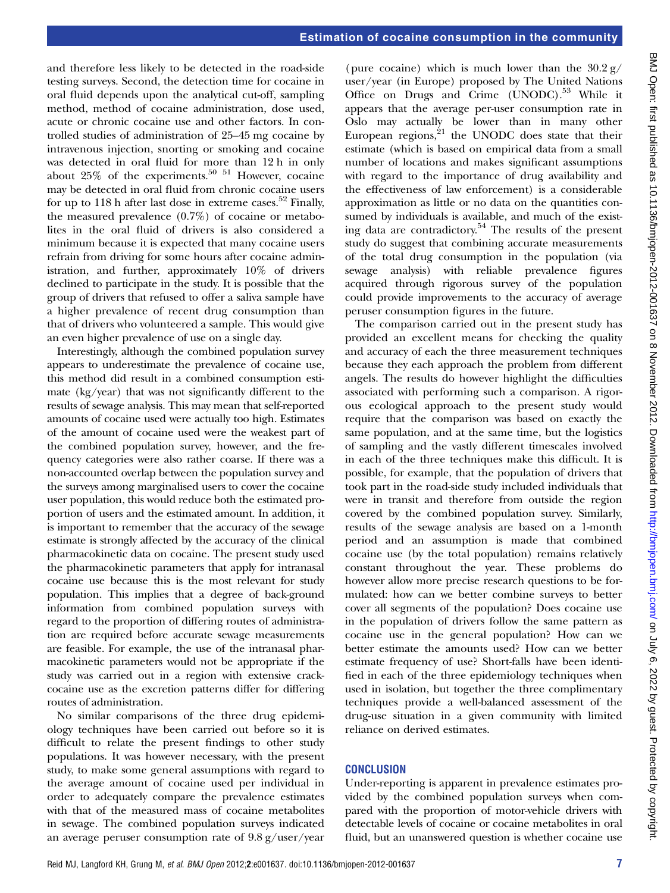and therefore less likely to be detected in the road-side testing surveys. Second, the detection time for cocaine in oral fluid depends upon the analytical cut-off, sampling method, method of cocaine administration, dose used, acute or chronic cocaine use and other factors. In controlled studies of administration of 25–45 mg cocaine by intravenous injection, snorting or smoking and cocaine was detected in oral fluid for more than 12 h in only about  $25\%$  of the experiments.<sup>50 51</sup> However, cocaine may be detected in oral fluid from chronic cocaine users for up to  $118$  h after last dose in extreme cases.<sup>52</sup> Finally, the measured prevalence (0.7%) of cocaine or metabolites in the oral fluid of drivers is also considered a minimum because it is expected that many cocaine users refrain from driving for some hours after cocaine administration, and further, approximately 10% of drivers declined to participate in the study. It is possible that the group of drivers that refused to offer a saliva sample have a higher prevalence of recent drug consumption than that of drivers who volunteered a sample. This would give an even higher prevalence of use on a single day.

Interestingly, although the combined population survey appears to underestimate the prevalence of cocaine use, this method did result in a combined consumption estimate (kg/year) that was not significantly different to the results of sewage analysis. This may mean that self-reported amounts of cocaine used were actually too high. Estimates of the amount of cocaine used were the weakest part of the combined population survey, however, and the frequency categories were also rather coarse. If there was a non-accounted overlap between the population survey and the surveys among marginalised users to cover the cocaine user population, this would reduce both the estimated proportion of users and the estimated amount. In addition, it is important to remember that the accuracy of the sewage estimate is strongly affected by the accuracy of the clinical pharmacokinetic data on cocaine. The present study used the pharmacokinetic parameters that apply for intranasal cocaine use because this is the most relevant for study population. This implies that a degree of back-ground information from combined population surveys with regard to the proportion of differing routes of administration are required before accurate sewage measurements are feasible. For example, the use of the intranasal pharmacokinetic parameters would not be appropriate if the study was carried out in a region with extensive crackcocaine use as the excretion patterns differ for differing routes of administration.

No similar comparisons of the three drug epidemiology techniques have been carried out before so it is difficult to relate the present findings to other study populations. It was however necessary, with the present study, to make some general assumptions with regard to the average amount of cocaine used per individual in order to adequately compare the prevalence estimates with that of the measured mass of cocaine metabolites in sewage. The combined population surveys indicated an average peruser consumption rate of 9.8 g/user/year

(pure cocaine) which is much lower than the  $30.2 \text{ g}/$ user/year (in Europe) proposed by The United Nations Office on Drugs and Crime (UNODC).<sup>53</sup> While it appears that the average per-user consumption rate in Oslo may actually be lower than in many other European regions, $^{21}$  the UNODC does state that their estimate (which is based on empirical data from a small number of locations and makes significant assumptions with regard to the importance of drug availability and the effectiveness of law enforcement) is a considerable approximation as little or no data on the quantities consumed by individuals is available, and much of the existing data are contradictory.<sup>54</sup> The results of the present study do suggest that combining accurate measurements of the total drug consumption in the population (via sewage analysis) with reliable prevalence figures acquired through rigorous survey of the population could provide improvements to the accuracy of average peruser consumption figures in the future.

The comparison carried out in the present study has provided an excellent means for checking the quality and accuracy of each the three measurement techniques because they each approach the problem from different angels. The results do however highlight the difficulties associated with performing such a comparison. A rigorous ecological approach to the present study would require that the comparison was based on exactly the same population, and at the same time, but the logistics of sampling and the vastly different timescales involved in each of the three techniques make this difficult. It is possible, for example, that the population of drivers that took part in the road-side study included individuals that were in transit and therefore from outside the region covered by the combined population survey. Similarly, results of the sewage analysis are based on a 1-month period and an assumption is made that combined cocaine use (by the total population) remains relatively constant throughout the year. These problems do however allow more precise research questions to be formulated: how can we better combine surveys to better cover all segments of the population? Does cocaine use in the population of drivers follow the same pattern as cocaine use in the general population? How can we better estimate the amounts used? How can we better estimate frequency of use? Short-falls have been identified in each of the three epidemiology techniques when used in isolation, but together the three complimentary techniques provide a well-balanced assessment of the drug-use situation in a given community with limited reliance on derived estimates.

#### **CONCLUSION**

Under-reporting is apparent in prevalence estimates provided by the combined population surveys when compared with the proportion of motor-vehicle drivers with detectable levels of cocaine or cocaine metabolites in oral fluid, but an unanswered question is whether cocaine use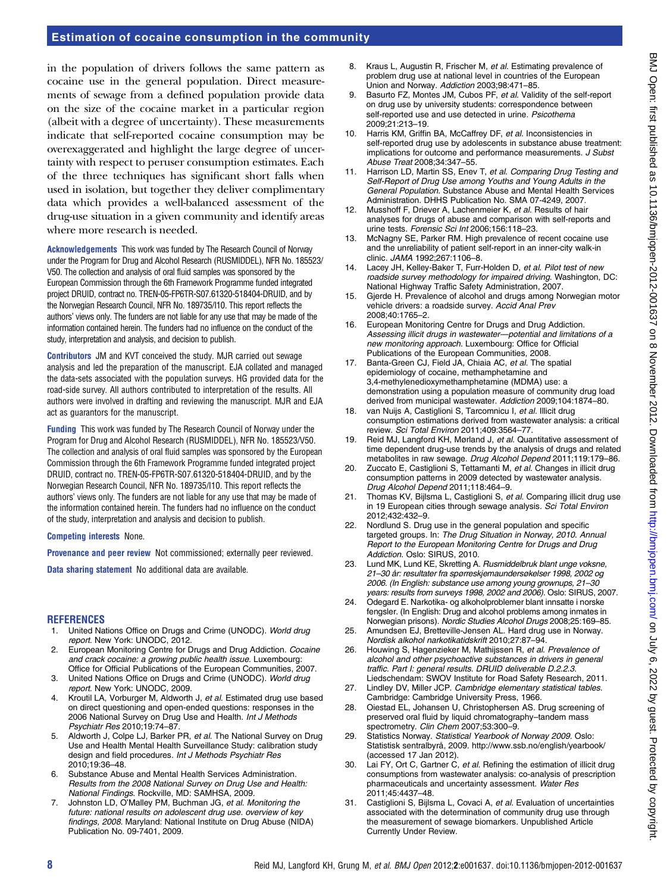in the population of drivers follows the same pattern as cocaine use in the general population. Direct measurements of sewage from a defined population provide data on the size of the cocaine market in a particular region (albeit with a degree of uncertainty). These measurements indicate that self-reported cocaine consumption may be overexaggerated and highlight the large degree of uncertainty with respect to peruser consumption estimates. Each of the three techniques has significant short falls when used in isolation, but together they deliver complimentary data which provides a well-balanced assessment of the drug-use situation in a given community and identify areas where more research is needed.

Acknowledgements This work was funded by The Research Council of Norway under the Program for Drug and Alcohol Research (RUSMIDDEL), NFR No. 185523/ V50. The collection and analysis of oral fluid samples was sponsored by the European Commission through the 6th Framework Programme funded integrated project DRUID, contract no. TREN-05-FP6TR-S07.61320-518404-DRUID, and by the Norwegian Research Council, NFR No. 189735/I10. This report reflects the authors' views only. The funders are not liable for any use that may be made of the information contained herein. The funders had no influence on the conduct of the study, interpretation and analysis, and decision to publish.

Contributors JM and KVT conceived the study. MJR carried out sewage analysis and led the preparation of the manuscript. EJA collated and managed the data-sets associated with the population surveys. HG provided data for the road-side survey. All authors contributed to interpretation of the results. All authors were involved in drafting and reviewing the manuscript. MJR and EJA act as guarantors for the manuscript.

Funding This work was funded by The Research Council of Norway under the Program for Drug and Alcohol Research (RUSMIDDEL), NFR No. 185523/V50. The collection and analysis of oral fluid samples was sponsored by the European Commission through the 6th Framework Programme funded integrated project DRUID, contract no. TREN-05-FP6TR-S07.61320-518404-DRUID, and by the Norwegian Research Council, NFR No. 189735/I10. This report reflects the authors' views only. The funders are not liable for any use that may be made of the information contained herein. The funders had no influence on the conduct of the study, interpretation and analysis and decision to publish.

#### Competing interests None.

Provenance and peer review Not commissioned; externally peer reviewed.

Data sharing statement No additional data are available.

#### **REFERENCES**

- 1. United Nations Office on Drugs and Crime (UNODC). World drug report. New York: UNODC, 2012.
- 2. European Monitoring Centre for Drugs and Drug Addiction. Cocaine and crack cocaine: a growing public health issue. Luxembourg: Office for Official Publications of the European Communities, 2007.
- 3. United Nations Office on Drugs and Crime (UNODC). World drug report. New York: UNODC, 2009.
- 4. Kroutil LA, Vorburger M, Aldworth J, et al. Estimated drug use based on direct questioning and open-ended questions: responses in the 2006 National Survey on Drug Use and Health. Int J Methods Psychiatr Res 2010;19:74–87.
- 5. Aldworth J, Colpe LJ, Barker PR, et al. The National Survey on Drug Use and Health Mental Health Surveillance Study: calibration study design and field procedures. Int J Methods Psychiatr Res 2010;19:36–48.
- 6. Substance Abuse and Mental Health Services Administration. Results from the 2008 National Survey on Drug Use and Health: National Findings. Rockville, MD: SAMHSA, 2009.
- Johnston LD, O'Malley PM, Buchman JG, et al. Monitoring the future: national results on adolescent drug use. overview of key findings, 2008. Maryland: National Institute on Drug Abuse (NIDA) Publication No. 09-7401, 2009.
- 8. Kraus L, Augustin R, Frischer M, et al. Estimating prevalence of problem drug use at national level in countries of the European Union and Norway. Addiction 2003;98:471–85.
- 9. Basurto FZ, Montes JM, Cubos PF, et al. Validity of the self-report on drug use by university students: correspondence between self-reported use and use detected in urine. Psicothema 2009;21:213–19.
- 10. Harris KM, Griffin BA, McCaffrey DF, et al. Inconsistencies in self-reported drug use by adolescents in substance abuse treatment: implications for outcome and performance measurements. J Subst Abuse Treat 2008;34:347–55.
- 11. Harrison LD, Martin SS, Enev T, et al. Comparing Drug Testing and Self-Report of Drug Use among Youths and Young Adults in the General Population. Substance Abuse and Mental Health Services Administration. DHHS Publication No. SMA 07-4249, 2007.
- 12. Musshoff F, Driever A, Lachenmeier K, et al. Results of hair analyses for drugs of abuse and comparison with self-reports and urine tests. Forensic Sci Int 2006;156:118–23.
- 13. McNagny SE, Parker RM. High prevalence of recent cocaine use and the unreliability of patient self-report in an inner-city walk-in clinic. JAMA 1992;267:1106–8.
- 14. Lacey JH, Kelley-Baker T, Furr-Holden D, et al. Pilot test of new roadside survey methodology for impaired driving. Washington, DC: National Highway Traffic Safety Administration, 2007.
- 15. Gjerde H. Prevalence of alcohol and drugs among Norwegian motor vehicle drivers: a roadside survey. Accid Anal Prev 2008;40:1765–2.
- 16. European Monitoring Centre for Drugs and Drug Addiction. Assessing illicit drugs in wastewater—potential and limitations of a new monitoring approach. Luxembourg: Office for Official Publications of the European Communities, 2008.
- 17. Banta-Green CJ, Field JA, Chiaia AC, et al. The spatial epidemiology of cocaine, methamphetamine and 3,4-methylenedioxymethamphetamine (MDMA) use: a demonstration using a population measure of community drug load derived from municipal wastewater. Addiction 2009;104:1874–80.
- 18. van Nuijs A, Castiglioni S, Tarcomnicu I, et al. Illicit drug consumption estimations derived from wastewater analysis: a critical review. Sci Total Environ 2011;409:3564–77.
- 19. Reid MJ, Langford KH, Mørland J, et al. Quantitative assessment of time dependent drug-use trends by the analysis of drugs and related metabolites in raw sewage. Drug Alcohol Depend 2011;119:179–86.
- 20. Zuccato E, Castiglioni S, Tettamanti M, et al. Changes in illicit drug consumption patterns in 2009 detected by wastewater analysis. Drug Alcohol Depend 2011;118:464–9.
- 21. Thomas KV, Bijlsma L, Castiglioni S, et al. Comparing illicit drug use in 19 European cities through sewage analysis. Sci Total Environ 2012;432:432–9.
- 22. Nordlund S. Drug use in the general population and specific targeted groups. In: The Drug Situation in Norway, 2010. Annual Report to the European Monitoring Centre for Drugs and Drug Addiction. Oslo: SIRUS, 2010.
- 23. Lund MK, Lund KE, Skretting A. Rusmiddelbruk blant unge voksne, 21–30 år: resultater fra spørreskjemaundersøkelser 1998, 2002 og 2006. (In English: substance use among young grownups, 21–30 years: results from surveys 1998, 2002 and 2006). Oslo: SIRUS, 2007.
- 24. Odegard E. Narkotika- og alkoholproblemer blant innsatte i norske fengsler. (In English: Drug and alcohol problems among inmates in Norwegian prisons). Nordic Studies Alcohol Drugs 2008;25:169–85.
- 25. Amundsen EJ, Bretteville-Jensen AL. Hard drug use in Norway. Nordisk alkohol narkotikatidskrift 2010;27:87–94.
- 26. Houwing S, Hagenzieker M, Mathijssen R, et al. Prevalence of alcohol and other psychoactive substances in drivers in general traffic. Part I: general results. DRUID deliverable D.2.2.3. Liedschendam: SWOV Institute for Road Safety Research, 2011.
- 27. Lindley DV, Miller JCP. Cambridge elementary statistical tables. Cambridge: Cambridge University Press, 1966.
- 28. Oiestad EL, Johansen U, Christophersen AS. Drug screening of preserved oral fluid by liquid chromatography–tandem mass spectrometry. Clin Chem 2007;53:300-9.
- 29. Statistics Norway. Statistical Yearbook of Norway 2009. Oslo: Statistisk sentralbyrå, 2009. [http://www.ssb.no/english/yearbook/](http://www.ssb.no/english/yearbook) (accessed 17 Jan 2012).
- 30. Lai FY, Ort C, Gartner C, et al. Refining the estimation of illicit drug consumptions from wastewater analysis: co-analysis of prescription pharmaceuticals and uncertainty assessment. Water Res 2011;45:4437–48.
- Castiglioni S, Bijlsma L, Covaci A, et al. Evaluation of uncertainties associated with the determination of community drug use through the measurement of sewage biomarkers. Unpublished Article Currently Under Review.